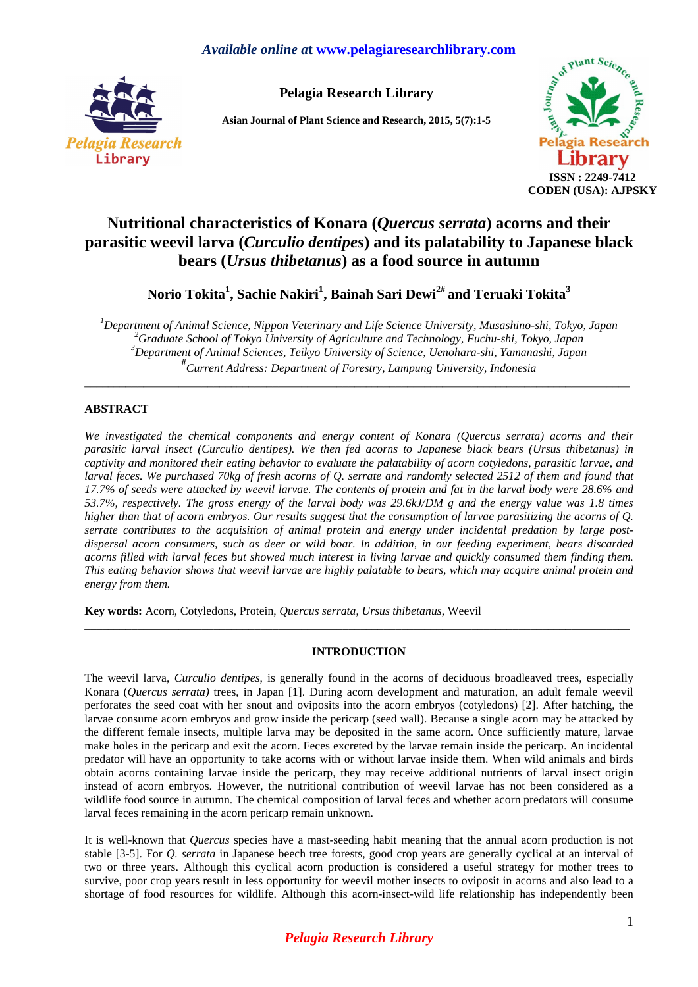# *Available online a***t www.pelagiaresearchlibrary.com**



**Pelagia Research Library** 

**Asian Journal of Plant Science and Research, 2015, 5(7):1-5** 



# **Nutritional characteristics of Konara (***Quercus serrata***) acorns and their parasitic weevil larva (***Curculio dentipes***) and its palatability to Japanese black bears (***Ursus thibetanus***) as a food source in autumn**

**Norio Tokita<sup>1</sup> , Sachie Nakiri<sup>1</sup> , Bainah Sari Dewi2# and Teruaki Tokita<sup>3</sup>**

*Department of Animal Science, Nippon Veterinary and Life Science University, Musashino-shi, Tokyo, Japan Graduate School of Tokyo University of Agriculture and Technology, Fuchu-shi, Tokyo, Japan Department of Animal Sciences, Teikyo University of Science, Uenohara-shi, Yamanashi, Japan*  **#** *Current Address: Department of Forestry, Lampung University, Indonesia* 

\_\_\_\_\_\_\_\_\_\_\_\_\_\_\_\_\_\_\_\_\_\_\_\_\_\_\_\_\_\_\_\_\_\_\_\_\_\_\_\_\_\_\_\_\_\_\_\_\_\_\_\_\_\_\_\_\_\_\_\_\_\_\_\_\_\_\_\_\_\_\_\_\_\_\_\_\_\_\_\_\_\_\_\_\_\_\_\_\_\_\_\_\_

# **ABSTRACT**

*We investigated the chemical components and energy content of Konara (Quercus serrata) acorns and their parasitic larval insect (Curculio dentipes). We then fed acorns to Japanese black bears (Ursus thibetanus) in captivity and monitored their eating behavior to evaluate the palatability of acorn cotyledons, parasitic larvae, and larval feces. We purchased 70kg of fresh acorns of Q. serrate and randomly selected 2512 of them and found that 17.7% of seeds were attacked by weevil larvae. The contents of protein and fat in the larval body were 28.6% and 53.7%, respectively. The gross energy of the larval body was 29.6kJ/DM g and the energy value was 1.8 times higher than that of acorn embryos. Our results suggest that the consumption of larvae parasitizing the acorns of Q. serrate contributes to the acquisition of animal protein and energy under incidental predation by large postdispersal acorn consumers, such as deer or wild boar. In addition, in our feeding experiment, bears discarded acorns filled with larval feces but showed much interest in living larvae and quickly consumed them finding them. This eating behavior shows that weevil larvae are highly palatable to bears, which may acquire animal protein and energy from them.* 

**Key words:** Acorn, Cotyledons, Protein, *Quercus serrata*, *Ursus thibetanus*, Weevil

# **INTRODUCTION**

**\_\_\_\_\_\_\_\_\_\_\_\_\_\_\_\_\_\_\_\_\_\_\_\_\_\_\_\_\_\_\_\_\_\_\_\_\_\_\_\_\_\_\_\_\_\_\_\_\_\_\_\_\_\_\_\_\_\_\_\_\_\_\_\_\_\_\_\_\_\_\_\_\_\_\_\_\_\_\_\_\_\_\_\_\_\_\_\_\_\_\_\_\_** 

The weevil larva, *Curculio dentipes*, is generally found in the acorns of deciduous broadleaved trees, especially Konara (*Quercus serrata)* trees, in Japan [1]. During acorn development and maturation, an adult female weevil perforates the seed coat with her snout and oviposits into the acorn embryos (cotyledons) [2]. After hatching, the larvae consume acorn embryos and grow inside the pericarp (seed wall). Because a single acorn may be attacked by the different female insects, multiple larva may be deposited in the same acorn. Once sufficiently mature, larvae make holes in the pericarp and exit the acorn. Feces excreted by the larvae remain inside the pericarp. An incidental predator will have an opportunity to take acorns with or without larvae inside them. When wild animals and birds obtain acorns containing larvae inside the pericarp, they may receive additional nutrients of larval insect origin instead of acorn embryos. However, the nutritional contribution of weevil larvae has not been considered as a wildlife food source in autumn. The chemical composition of larval feces and whether acorn predators will consume larval feces remaining in the acorn pericarp remain unknown.

It is well-known that *Quercus* species have a mast-seeding habit meaning that the annual acorn production is not stable [3-5]. For *Q. serrata* in Japanese beech tree forests, good crop years are generally cyclical at an interval of two or three years. Although this cyclical acorn production is considered a useful strategy for mother trees to survive, poor crop years result in less opportunity for weevil mother insects to oviposit in acorns and also lead to a shortage of food resources for wildlife. Although this acorn-insect-wild life relationship has independently been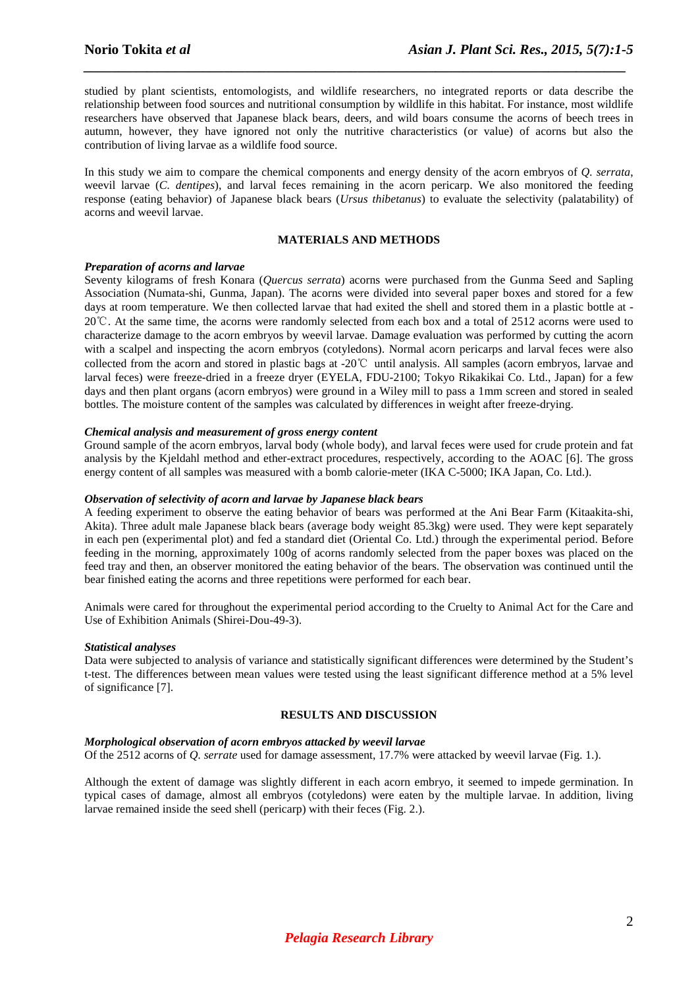studied by plant scientists, entomologists, and wildlife researchers, no integrated reports or data describe the relationship between food sources and nutritional consumption by wildlife in this habitat. For instance, most wildlife researchers have observed that Japanese black bears, deers, and wild boars consume the acorns of beech trees in autumn, however, they have ignored not only the nutritive characteristics (or value) of acorns but also the contribution of living larvae as a wildlife food source.

*\_\_\_\_\_\_\_\_\_\_\_\_\_\_\_\_\_\_\_\_\_\_\_\_\_\_\_\_\_\_\_\_\_\_\_\_\_\_\_\_\_\_\_\_\_\_\_\_\_\_\_\_\_\_\_\_\_\_\_\_\_\_\_\_\_\_\_\_\_\_\_\_\_\_\_\_\_* 

In this study we aim to compare the chemical components and energy density of the acorn embryos of *Q. serrata*, weevil larvae (*C. dentipes*), and larval feces remaining in the acorn pericarp. We also monitored the feeding response (eating behavior) of Japanese black bears (*Ursus thibetanus*) to evaluate the selectivity (palatability) of acorns and weevil larvae.

# **MATERIALS AND METHODS**

#### *Preparation of acorns and larvae*

Seventy kilograms of fresh Konara (*Quercus serrata*) acorns were purchased from the Gunma Seed and Sapling Association (Numata-shi, Gunma, Japan). The acorns were divided into several paper boxes and stored for a few days at room temperature. We then collected larvae that had exited the shell and stored them in a plastic bottle at - 20℃. At the same time, the acorns were randomly selected from each box and a total of 2512 acorns were used to characterize damage to the acorn embryos by weevil larvae. Damage evaluation was performed by cutting the acorn with a scalpel and inspecting the acorn embryos (cotyledons). Normal acorn pericarps and larval feces were also collected from the acorn and stored in plastic bags at -20℃ until analysis. All samples (acorn embryos, larvae and larval feces) were freeze-dried in a freeze dryer (EYELA, FDU-2100; Tokyo Rikakikai Co. Ltd., Japan) for a few days and then plant organs (acorn embryos) were ground in a Wiley mill to pass a 1mm screen and stored in sealed bottles. The moisture content of the samples was calculated by differences in weight after freeze-drying.

#### *Chemical analysis and measurement of gross energy content*

Ground sample of the acorn embryos, larval body (whole body), and larval feces were used for crude protein and fat analysis by the Kjeldahl method and ether-extract procedures, respectively, according to the AOAC [6]. The gross energy content of all samples was measured with a bomb calorie-meter (IKA C-5000; IKA Japan, Co. Ltd.).

#### *Observation of selectivity of acorn and larvae by Japanese black bears*

A feeding experiment to observe the eating behavior of bears was performed at the Ani Bear Farm (Kitaakita-shi, Akita). Three adult male Japanese black bears (average body weight 85.3kg) were used. They were kept separately in each pen (experimental plot) and fed a standard diet (Oriental Co. Ltd.) through the experimental period. Before feeding in the morning, approximately 100g of acorns randomly selected from the paper boxes was placed on the feed tray and then, an observer monitored the eating behavior of the bears. The observation was continued until the bear finished eating the acorns and three repetitions were performed for each bear.

Animals were cared for throughout the experimental period according to the Cruelty to Animal Act for the Care and Use of Exhibition Animals (Shirei-Dou-49-3).

#### *Statistical analyses*

Data were subjected to analysis of variance and statistically significant differences were determined by the Student's t-test. The differences between mean values were tested using the least significant difference method at a 5% level of significance [7].

#### **RESULTS AND DISCUSSION**

#### *Morphological observation of acorn embryos attacked by weevil larvae*

Of the 2512 acorns of *Q. serrate* used for damage assessment, 17.7% were attacked by weevil larvae (Fig. 1.).

Although the extent of damage was slightly different in each acorn embryo, it seemed to impede germination. In typical cases of damage, almost all embryos (cotyledons) were eaten by the multiple larvae. In addition, living larvae remained inside the seed shell (pericarp) with their feces (Fig. 2.).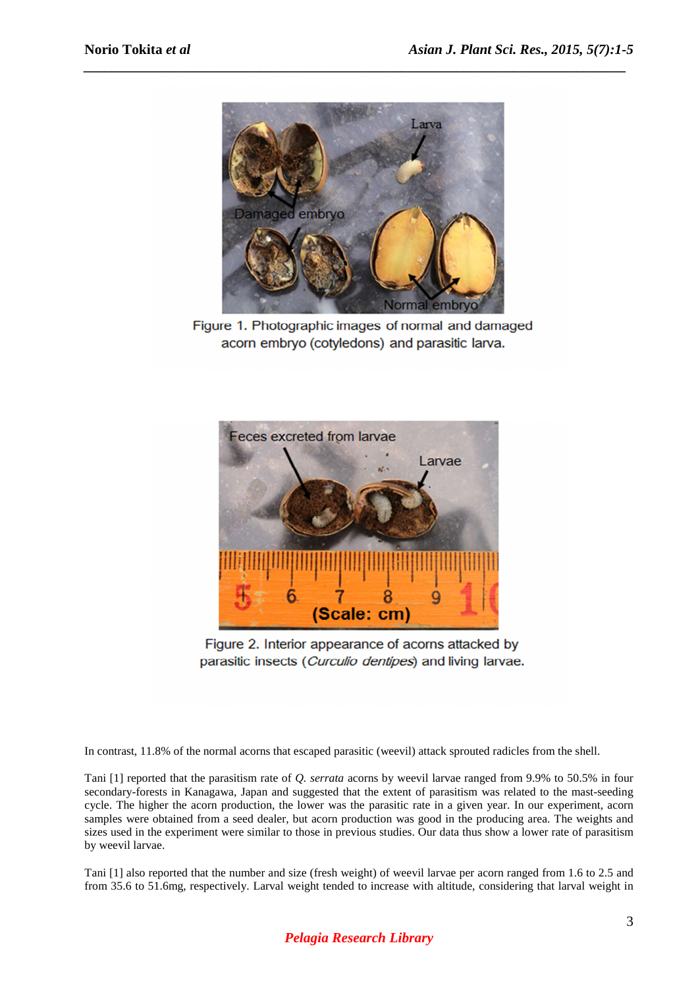

*\_\_\_\_\_\_\_\_\_\_\_\_\_\_\_\_\_\_\_\_\_\_\_\_\_\_\_\_\_\_\_\_\_\_\_\_\_\_\_\_\_\_\_\_\_\_\_\_\_\_\_\_\_\_\_\_\_\_\_\_\_\_\_\_\_\_\_\_\_\_\_\_\_\_\_\_\_* 

Figure 1. Photographic images of normal and damaged acorn embryo (cotyledons) and parasitic larva.



Figure 2. Interior appearance of acorns attacked by parasitic insects (Curculio dentipes) and living larvae.

In contrast, 11.8% of the normal acorns that escaped parasitic (weevil) attack sprouted radicles from the shell.

Tani [1] reported that the parasitism rate of *Q. serrata* acorns by weevil larvae ranged from 9.9% to 50.5% in four secondary-forests in Kanagawa, Japan and suggested that the extent of parasitism was related to the mast-seeding cycle. The higher the acorn production, the lower was the parasitic rate in a given year. In our experiment, acorn samples were obtained from a seed dealer, but acorn production was good in the producing area. The weights and sizes used in the experiment were similar to those in previous studies. Our data thus show a lower rate of parasitism by weevil larvae.

Tani [1] also reported that the number and size (fresh weight) of weevil larvae per acorn ranged from 1.6 to 2.5 and from 35.6 to 51.6mg, respectively. Larval weight tended to increase with altitude, considering that larval weight in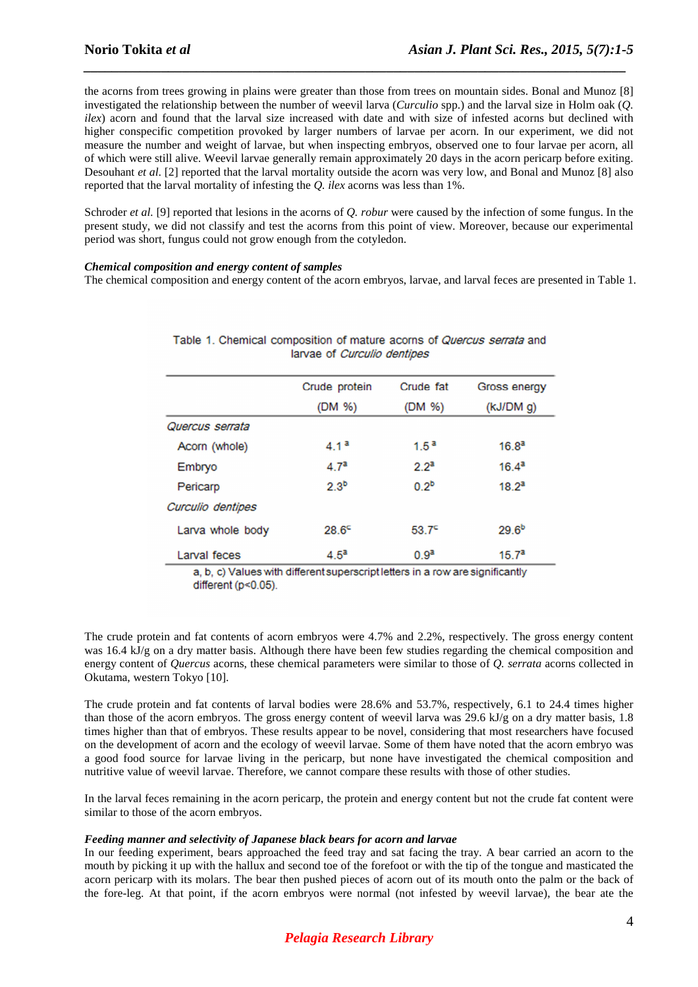the acorns from trees growing in plains were greater than those from trees on mountain sides. Bonal and Munoz [8] investigated the relationship between the number of weevil larva (*Curculio* spp.) and the larval size in Holm oak (*Q. ilex*) acorn and found that the larval size increased with date and with size of infested acorns but declined with higher conspecific competition provoked by larger numbers of larvae per acorn. In our experiment, we did not measure the number and weight of larvae, but when inspecting embryos, observed one to four larvae per acorn, all of which were still alive. Weevil larvae generally remain approximately 20 days in the acorn pericarp before exiting. Desouhant *et al*. [2] reported that the larval mortality outside the acorn was very low, and Bonal and Munoz [8] also reported that the larval mortality of infesting the *Q. ilex* acorns was less than 1%.

*\_\_\_\_\_\_\_\_\_\_\_\_\_\_\_\_\_\_\_\_\_\_\_\_\_\_\_\_\_\_\_\_\_\_\_\_\_\_\_\_\_\_\_\_\_\_\_\_\_\_\_\_\_\_\_\_\_\_\_\_\_\_\_\_\_\_\_\_\_\_\_\_\_\_\_\_\_* 

Schroder *et al.* [9] reported that lesions in the acorns of *Q. robur* were caused by the infection of some fungus. In the present study, we did not classify and test the acorns from this point of view. Moreover, because our experimental period was short, fungus could not grow enough from the cotyledon.

#### *Chemical composition and energy content of samples*

The chemical composition and energy content of the acorn embryos, larvae, and larval feces are presented in Table 1.

| Crude protein     | Crude fat   | Gross energy      |
|-------------------|-------------|-------------------|
| (DM %)            | (DM %)      | (kJ/DM)           |
|                   |             |                   |
| $4.1^{\text{a}}$  | $1.5^{\,a}$ | $16.8^{\rm a}$    |
| 4.7 <sup>a</sup>  | $2.2^a$     | $16.4^{\circ}$    |
| 2.3 <sup>b</sup>  | $0.2^{b}$   | $18.2^a$          |
|                   |             |                   |
| 28.6 <sup>c</sup> | $53.7^c$    | 29.6 <sup>b</sup> |
| $4.5^{\circ}$     | $0.9^a$     | 15.7 <sup>a</sup> |
|                   |             |                   |

| Table 1. Chemical composition of mature acorns of <i>Quercus serrata</i> and |  |  |  |  |  |  |  |  |
|------------------------------------------------------------------------------|--|--|--|--|--|--|--|--|
| larvae of <i>Curculio dentipes</i>                                           |  |  |  |  |  |  |  |  |

a, b, c) Values with different superscript letters in a row are significantly different (p<0.05).

The crude protein and fat contents of acorn embryos were 4.7% and 2.2%, respectively. The gross energy content was 16.4 kJ/g on a dry matter basis. Although there have been few studies regarding the chemical composition and energy content of *Quercus* acorns, these chemical parameters were similar to those of *Q. serrata* acorns collected in Okutama, western Tokyo [10].

The crude protein and fat contents of larval bodies were 28.6% and 53.7%, respectively, 6.1 to 24.4 times higher than those of the acorn embryos. The gross energy content of weevil larva was 29.6 kJ/g on a dry matter basis, 1.8 times higher than that of embryos. These results appear to be novel, considering that most researchers have focused on the development of acorn and the ecology of weevil larvae. Some of them have noted that the acorn embryo was a good food source for larvae living in the pericarp, but none have investigated the chemical composition and nutritive value of weevil larvae. Therefore, we cannot compare these results with those of other studies.

In the larval feces remaining in the acorn pericarp, the protein and energy content but not the crude fat content were similar to those of the acorn embryos.

## *Feeding manner and selectivity of Japanese black bears for acorn and larvae*

In our feeding experiment, bears approached the feed tray and sat facing the tray. A bear carried an acorn to the mouth by picking it up with the hallux and second toe of the forefoot or with the tip of the tongue and masticated the acorn pericarp with its molars. The bear then pushed pieces of acorn out of its mouth onto the palm or the back of the fore-leg. At that point, if the acorn embryos were normal (not infested by weevil larvae), the bear ate the